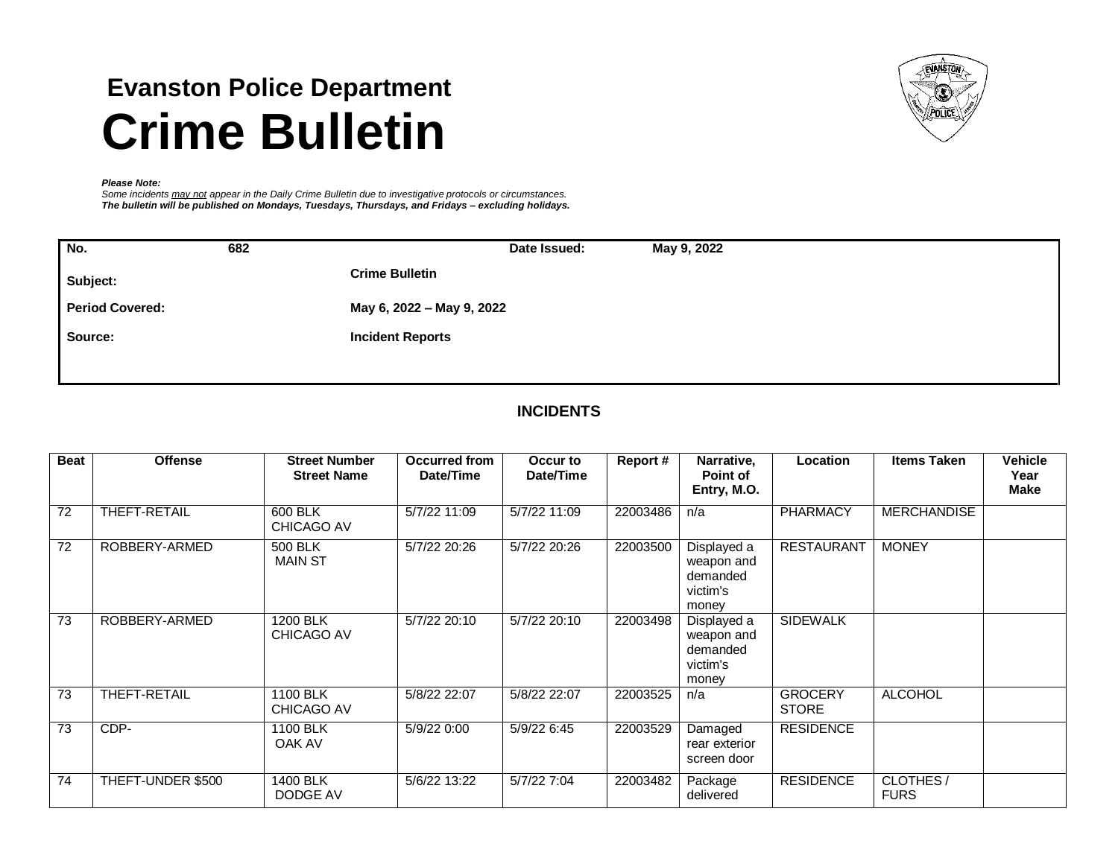# **Evanston Police Department Crime Bulletin**



#### *Please Note:*

*Some incidents may not appear in the Daily Crime Bulletin due to investigative protocols or circumstances. The bulletin will be published on Mondays, Tuesdays, Thursdays, and Fridays – excluding holidays.*

| No.                    | 682 | Date Issued:<br>May 9, 2022 |
|------------------------|-----|-----------------------------|
| Subject:               |     | <b>Crime Bulletin</b>       |
| <b>Period Covered:</b> |     | May 6, 2022 - May 9, 2022   |
| Source:                |     | <b>Incident Reports</b>     |
|                        |     |                             |

# **INCIDENTS**

| <b>Beat</b> | <b>Offense</b>    | <b>Street Number</b><br><b>Street Name</b> | Occurred from<br>Date/Time | Occur to<br>Date/Time | Report#  | Narrative,<br>Point of<br>Entry, M.O.                      | Location                       | <b>Items Taken</b>      | <b>Vehicle</b><br>Year<br><b>Make</b> |
|-------------|-------------------|--------------------------------------------|----------------------------|-----------------------|----------|------------------------------------------------------------|--------------------------------|-------------------------|---------------------------------------|
| 72          | THEFT-RETAIL      | 600 BLK<br><b>CHICAGO AV</b>               | 5/7/22 11:09               | 5/7/22 11:09          | 22003486 | n/a                                                        | <b>PHARMACY</b>                | <b>MERCHANDISE</b>      |                                       |
| 72          | ROBBERY-ARMED     | 500 BLK<br><b>MAIN ST</b>                  | 5/7/22 20:26               | 5/7/22 20:26          | 22003500 | Displayed a<br>weapon and<br>demanded<br>victim's<br>money | <b>RESTAURANT</b>              | <b>MONEY</b>            |                                       |
| 73          | ROBBERY-ARMED     | 1200 BLK<br><b>CHICAGO AV</b>              | 5/7/22 20:10               | 5/7/22 20:10          | 22003498 | Displayed a<br>weapon and<br>demanded<br>victim's<br>money | <b>SIDEWALK</b>                |                         |                                       |
| 73          | THEFT-RETAIL      | 1100 BLK<br><b>CHICAGO AV</b>              | 5/8/22 22:07               | 5/8/22 22:07          | 22003525 | n/a                                                        | <b>GROCERY</b><br><b>STORE</b> | <b>ALCOHOL</b>          |                                       |
| 73          | CDP-              | 1100 BLK<br>OAK AV                         | 5/9/22 0:00                | 5/9/22 6:45           | 22003529 | Damaged<br>rear exterior<br>screen door                    | <b>RESIDENCE</b>               |                         |                                       |
| 74          | THEFT-UNDER \$500 | 1400 BLK<br>DODGE AV                       | 5/6/22 13:22               | 5/7/22 7:04           | 22003482 | Package<br>delivered                                       | <b>RESIDENCE</b>               | CLOTHES/<br><b>FURS</b> |                                       |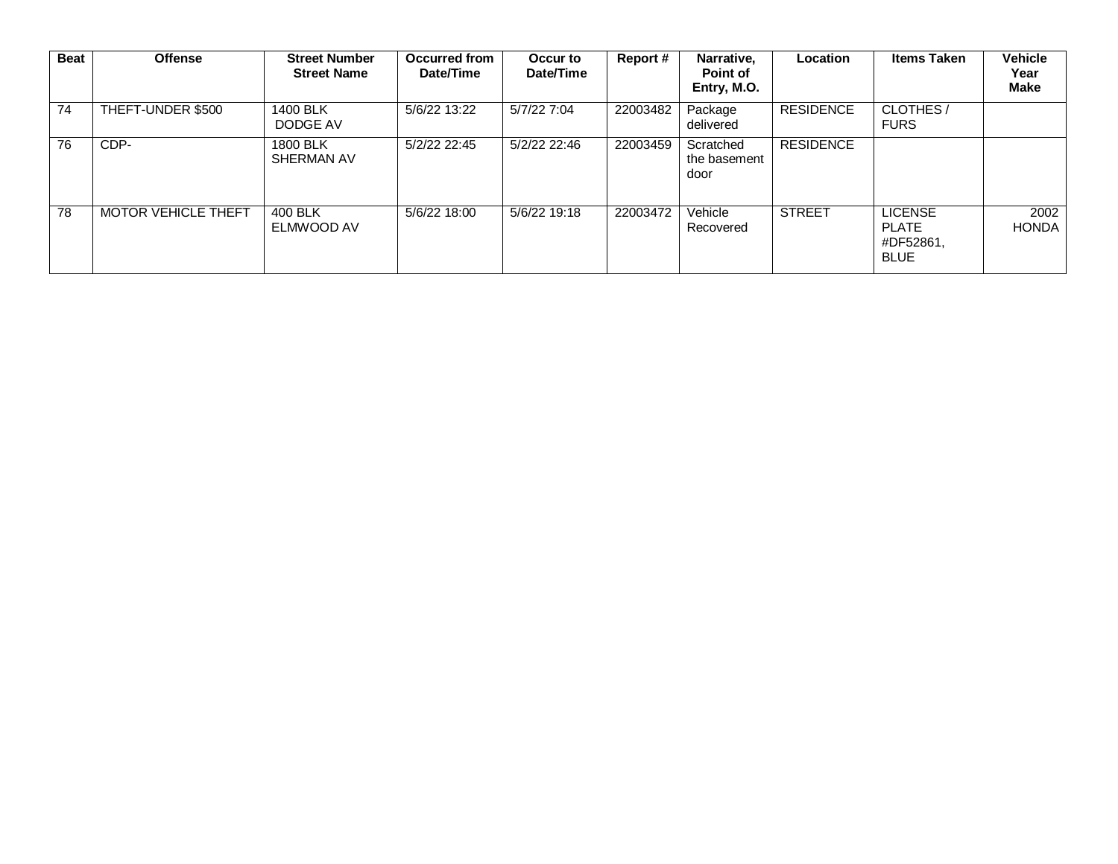| <b>Beat</b> | <b>Offense</b>      | <b>Street Number</b><br><b>Street Name</b> | <b>Occurred from</b><br>Date/Time | Occur to<br>Date/Time | Report#  | Narrative,<br>Point of<br>Entry, M.O. | Location         | <b>Items Taken</b>                                  | Vehicle<br>Year<br><b>Make</b> |
|-------------|---------------------|--------------------------------------------|-----------------------------------|-----------------------|----------|---------------------------------------|------------------|-----------------------------------------------------|--------------------------------|
| 74          | THEFT-UNDER \$500   | 1400 BLK<br>DODGE AV                       | 5/6/22 13:22                      | 5/7/22 7:04           | 22003482 | Package<br>delivered                  | <b>RESIDENCE</b> | CLOTHES/<br><b>FURS</b>                             |                                |
| 76          | CDP-                | 1800 BLK<br>SHERMAN AV                     | 5/2/22 22:45                      | 5/2/22 22:46          | 22003459 | Scratched<br>the basement<br>door     | <b>RESIDENCE</b> |                                                     |                                |
| 78          | MOTOR VEHICLE THEFT | 400 BLK<br>ELMWOOD AV                      | 5/6/22 18:00                      | 5/6/22 19:18          | 22003472 | Vehicle<br>Recovered                  | <b>STREET</b>    | <b>LICENSE</b><br>PLATE<br>#DF52861,<br><b>BLUE</b> | 2002<br><b>HONDA</b>           |